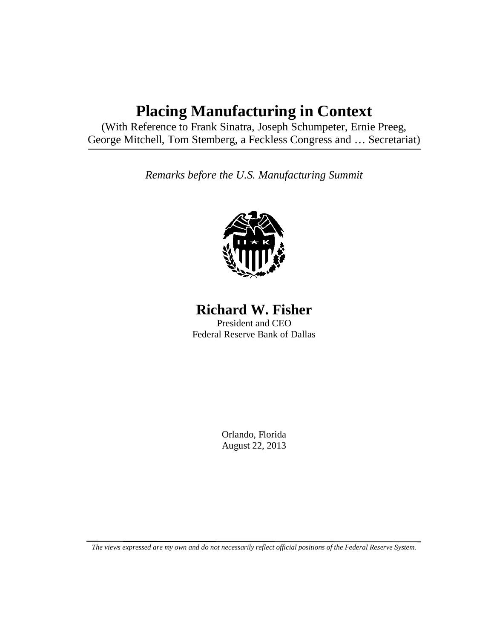## **Placing Manufacturing in Context**

(With Reference to Frank Sinatra, Joseph Schumpeter, Ernie Preeg, George Mitchell, Tom Stemberg, a Feckless Congress and … Secretariat)

*Remarks before the U.S. Manufacturing Summit*



**Richard W. Fisher**

President and CEO Federal Reserve Bank of Dallas

> Orlando, Florida August 22, 2013

*The views expressed are my own and do not necessarily reflect official positions of the Federal Reserve System.*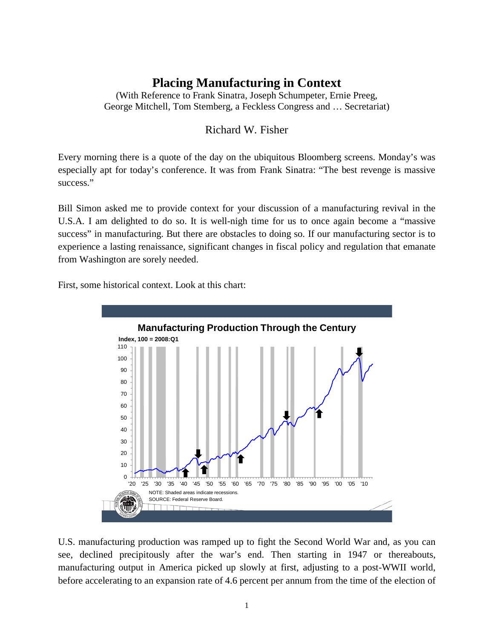## **Placing Manufacturing in Context**

(With Reference to Frank Sinatra, Joseph Schumpeter, Ernie Preeg, George Mitchell, Tom Stemberg, a Feckless Congress and … Secretariat)

## Richard W. Fisher

Every morning there is a quote of the day on the ubiquitous Bloomberg screens. Monday's was especially apt for today's conference. It was from Frank Sinatra: "The best revenge is massive success."

Bill Simon asked me to provide context for your discussion of a manufacturing revival in the U.S.A. I am delighted to do so. It is well-nigh time for us to once again become a "massive success" in manufacturing. But there are obstacles to doing so. If our manufacturing sector is to experience a lasting renaissance, significant changes in fiscal policy and regulation that emanate from Washington are sorely needed.

First, some historical context. Look at this chart:



U.S. manufacturing production was ramped up to fight the Second World War and, as you can see, declined precipitously after the war's end. Then starting in 1947 or thereabouts, manufacturing output in America picked up slowly at first, adjusting to a post-WWII world, before accelerating to an expansion rate of 4.6 percent per annum from the time of the election of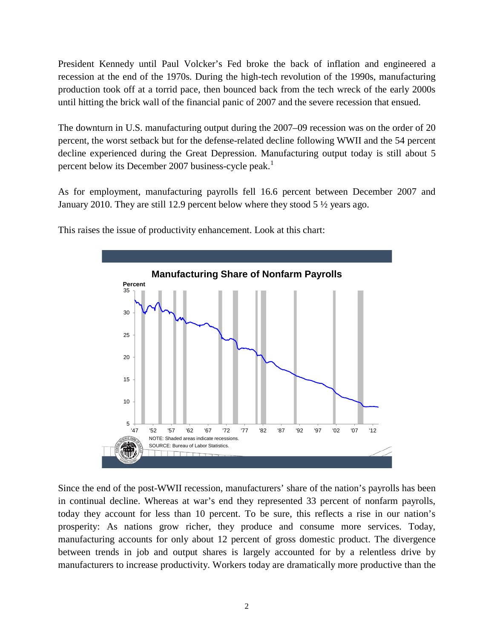President Kennedy until Paul Volcker's Fed broke the back of inflation and engineered a recession at the end of the 1970s. During the high-tech revolution of the 1990s, manufacturing production took off at a torrid pace, then bounced back from the tech wreck of the early 2000s until hitting the brick wall of the financial panic of 2007 and the severe recession that ensued.

The downturn in U.S. manufacturing output during the 2007–09 recession was on the order of 20 percent, the worst setback but for the defense-related decline following WWII and the 54 percent decline experienced during the Great Depression. Manufacturing output today is still about 5 percent below its December 2007 business-cycle peak.<sup>[1](#page-9-0)</sup>

As for employment, manufacturing payrolls fell 16.6 percent between December 2007 and January 2010. They are still 12.9 percent below where they stood 5 ½ years ago.



This raises the issue of productivity enhancement. Look at this chart:

Since the end of the post-WWII recession, manufacturers' share of the nation's payrolls has been in continual decline. Whereas at war's end they represented 33 percent of nonfarm payrolls, today they account for less than 10 percent. To be sure, this reflects a rise in our nation's prosperity: As nations grow richer, they produce and consume more services. Today, manufacturing accounts for only about 12 percent of gross domestic product. The divergence between trends in job and output shares is largely accounted for by a relentless drive by manufacturers to increase productivity. Workers today are dramatically more productive than the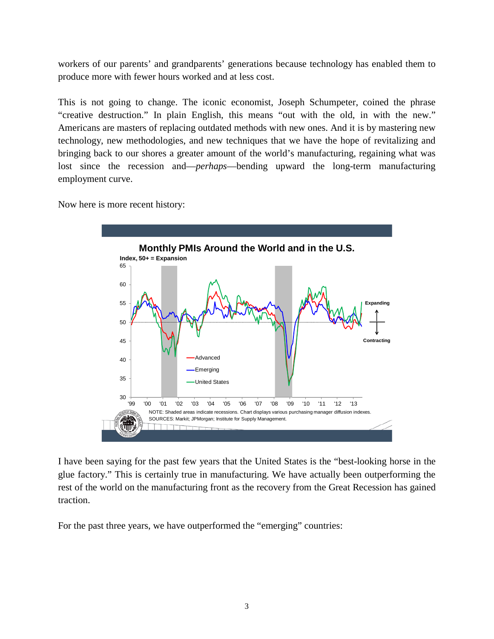workers of our parents' and grandparents' generations because technology has enabled them to produce more with fewer hours worked and at less cost.

This is not going to change. The iconic economist, Joseph Schumpeter, coined the phrase "creative destruction." In plain English, this means "out with the old, in with the new." Americans are masters of replacing outdated methods with new ones. And it is by mastering new technology, new methodologies, and new techniques that we have the hope of revitalizing and bringing back to our shores a greater amount of the world's manufacturing, regaining what was lost since the recession and—*perhaps*—bending upward the long-term manufacturing employment curve.

Now here is more recent history:



I have been saying for the past few years that the United States is the "best-looking horse in the glue factory." This is certainly true in manufacturing. We have actually been outperforming the rest of the world on the manufacturing front as the recovery from the Great Recession has gained traction.

For the past three years, we have outperformed the "emerging" countries: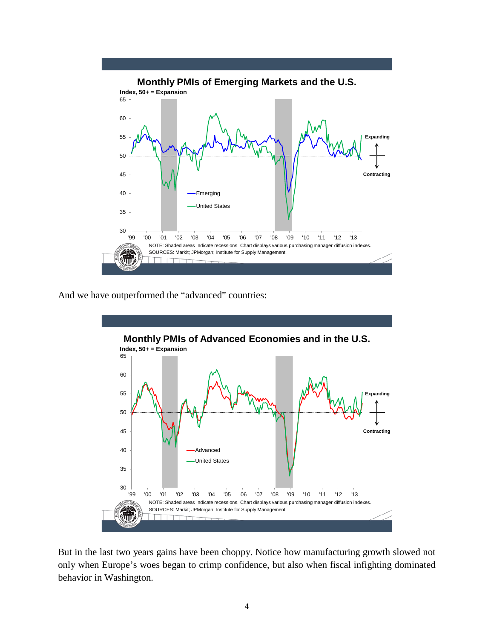

And we have outperformed the "advanced" countries:



But in the last two years gains have been choppy. Notice how manufacturing growth slowed not only when Europe's woes began to crimp confidence, but also when fiscal infighting dominated behavior in Washington.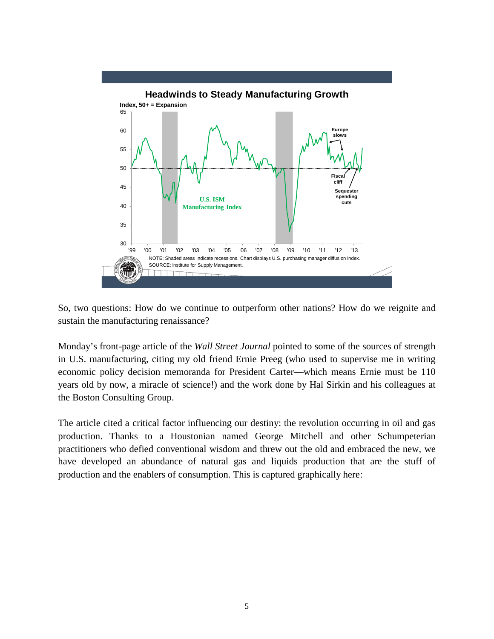

So, two questions: How do we continue to outperform other nations? How do we reignite and sustain the manufacturing renaissance?

Monday's front-page article of the *Wall Street Journal* pointed to some of the sources of strength in U.S. manufacturing, citing my old friend Ernie Preeg (who used to supervise me in writing economic policy decision memoranda for President Carter—which means Ernie must be 110 years old by now, a miracle of science!) and the work done by Hal Sirkin and his colleagues at the Boston Consulting Group.

The article cited a critical factor influencing our destiny: the revolution occurring in oil and gas production. Thanks to a Houstonian named George Mitchell and other Schumpeterian practitioners who defied conventional wisdom and threw out the old and embraced the new, we have developed an abundance of natural gas and liquids production that are the stuff of production and the enablers of consumption. This is captured graphically here: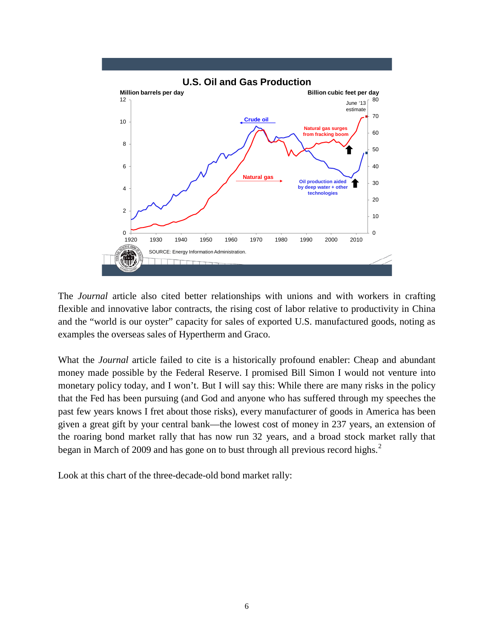

The *Journal* article also cited better relationships with unions and with workers in crafting flexible and innovative labor contracts, the rising cost of labor relative to productivity in China and the "world is our oyster" capacity for sales of exported U.S. manufactured goods, noting as examples the overseas sales of Hypertherm and Graco.

What the *Journal* article failed to cite is a historically profound enabler: Cheap and abundant money made possible by the Federal Reserve. I promised Bill Simon I would not venture into monetary policy today, and I won't. But I will say this: While there are many risks in the policy that the Fed has been pursuing (and God and anyone who has suffered through my speeches the past few years knows I fret about those risks), every manufacturer of goods in America has been given a great gift by your central bank—the lowest cost of money in 237 years, an extension of the roaring bond market rally that has now run 32 years, and a broad stock market rally that began in March of [2](#page-9-1)009 and has gone on to bust through all previous record highs.<sup>2</sup>

Look at this chart of the three-decade-old bond market rally: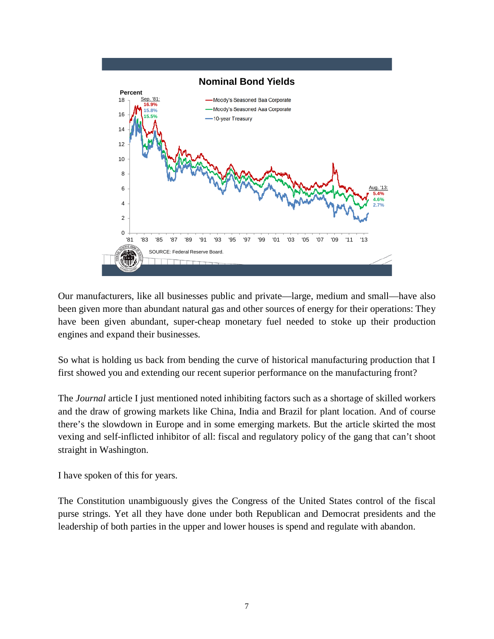

Our manufacturers, like all businesses public and private—large, medium and small—have also been given more than abundant natural gas and other sources of energy for their operations: They have been given abundant, super-cheap monetary fuel needed to stoke up their production engines and expand their businesses.

So what is holding us back from bending the curve of historical manufacturing production that I first showed you and extending our recent superior performance on the manufacturing front?

The *Journal* article I just mentioned noted inhibiting factors such as a shortage of skilled workers and the draw of growing markets like China, India and Brazil for plant location. And of course there's the slowdown in Europe and in some emerging markets. But the article skirted the most vexing and self-inflicted inhibitor of all: fiscal and regulatory policy of the gang that can't shoot straight in Washington.

I have spoken of this for years.

The Constitution unambiguously gives the Congress of the United States control of the fiscal purse strings. Yet all they have done under both Republican and Democrat presidents and the leadership of both parties in the upper and lower houses is spend and regulate with abandon.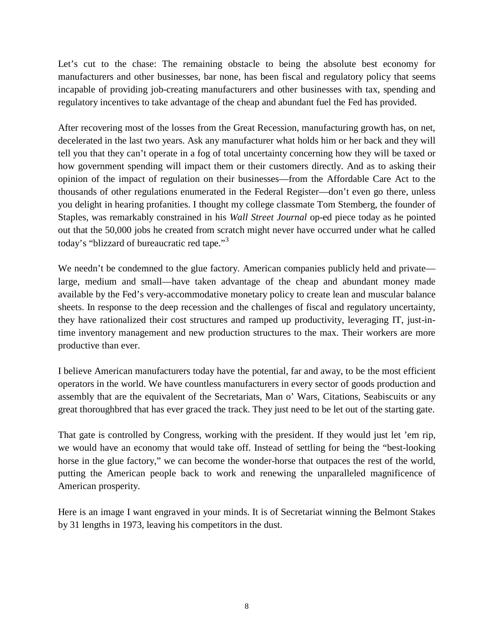Let's cut to the chase: The remaining obstacle to being the absolute best economy for manufacturers and other businesses, bar none, has been fiscal and regulatory policy that seems incapable of providing job-creating manufacturers and other businesses with tax, spending and regulatory incentives to take advantage of the cheap and abundant fuel the Fed has provided.

After recovering most of the losses from the Great Recession, manufacturing growth has, on net, decelerated in the last two years. Ask any manufacturer what holds him or her back and they will tell you that they can't operate in a fog of total uncertainty concerning how they will be taxed or how government spending will impact them or their customers directly. And as to asking their opinion of the impact of regulation on their businesses—from the Affordable Care Act to the thousands of other regulations enumerated in the Federal Register—don't even go there, unless you delight in hearing profanities. I thought my college classmate Tom Stemberg, the founder of Staples, was remarkably constrained in his *Wall Street Journal* op-ed piece today as he pointed out that the 50,000 jobs he created from scratch might never have occurred under what he called today's "blizzard of bureaucratic red tape."[3](#page-9-2)

We needn't be condemned to the glue factory. American companies publicly held and private large, medium and small—have taken advantage of the cheap and abundant money made available by the Fed's very-accommodative monetary policy to create lean and muscular balance sheets. In response to the deep recession and the challenges of fiscal and regulatory uncertainty, they have rationalized their cost structures and ramped up productivity, leveraging IT, just-intime inventory management and new production structures to the max. Their workers are more productive than ever.

I believe American manufacturers today have the potential, far and away, to be the most efficient operators in the world. We have countless manufacturers in every sector of goods production and assembly that are the equivalent of the Secretariats, Man o' Wars, Citations, Seabiscuits or any great thoroughbred that has ever graced the track. They just need to be let out of the starting gate.

That gate is controlled by Congress, working with the president. If they would just let 'em rip, we would have an economy that would take off. Instead of settling for being the "best-looking horse in the glue factory," we can become the wonder-horse that outpaces the rest of the world, putting the American people back to work and renewing the unparalleled magnificence of American prosperity.

Here is an image I want engraved in your minds. It is of Secretariat winning the Belmont Stakes by 31 lengths in 1973, leaving his competitors in the dust.